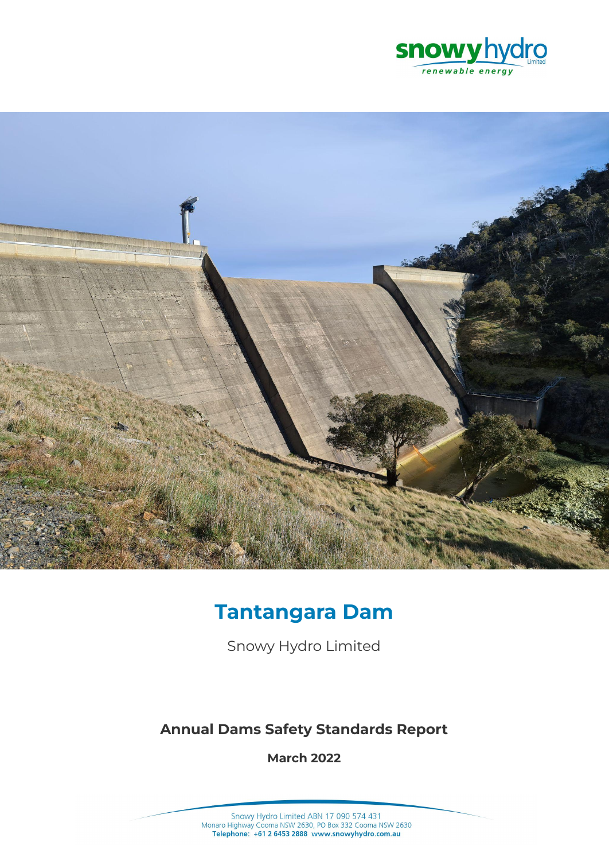



# **Tantangara Dam**

Snowy Hydro Limited

# **Annual Dams Safety Standards Report**

**March 2022**

Snowy Hydro Limited ABN 17 090 574 431<br>Monaro Highway Cooma NSW 2630, PO Box 332 Cooma NSW 2630<br>Telephone: +61 2 6453 2888 www.snowyhydro.com.au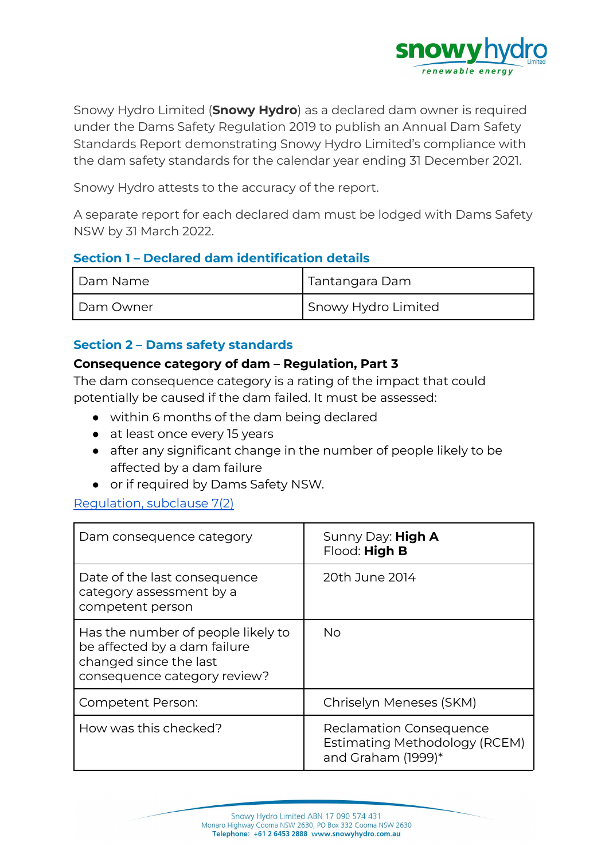

Snowy Hydro Limited (**Snowy Hydro**) as a declared dam owner is required under the Dams Safety Regulation 2019 to publish an Annual Dam Safety Standards Report demonstrating Snowy Hydro Limited's compliance with the dam safety standards for the calendar year ending 31 December 2021.

Snowy Hydro attests to the accuracy of the report.

A separate report for each declared dam must be lodged with Dams Safety NSW by 31 March 2022.

#### **Section 1 – Declared dam identification details**

| Dam Name  | Tantangara Dam      |
|-----------|---------------------|
| Dam Owner | Snowy Hydro Limited |

#### **Section 2 – Dams safety standards**

#### **Consequence category of dam – Regulation, Part 3**

The dam consequence category is a rating of the impact that could potentially be caused if the dam failed. It must be assessed:

- within 6 months of the dam being declared
- at least once every 15 years
- after any significant change in the number of people likely to be affected by a dam failure
- or if required by Dams Safety NSW.

#### [Regulation,](https://legislation.nsw.gov.au/view/html/inforce/current/sl-2019-0506#sec.7) subclause 7(2)

| Dam consequence category                                                                                                     | Sunny Day: High A<br>Flood: High B                                                    |
|------------------------------------------------------------------------------------------------------------------------------|---------------------------------------------------------------------------------------|
| Date of the last consequence<br>category assessment by a<br>competent person                                                 | 20th June 2014                                                                        |
| Has the number of people likely to<br>be affected by a dam failure<br>changed since the last<br>consequence category review? | No                                                                                    |
| <b>Competent Person:</b>                                                                                                     | Chriselyn Meneses (SKM)                                                               |
| How was this checked?                                                                                                        | <b>Reclamation Consequence</b><br>Estimating Methodology (RCEM)<br>and Graham (1999)* |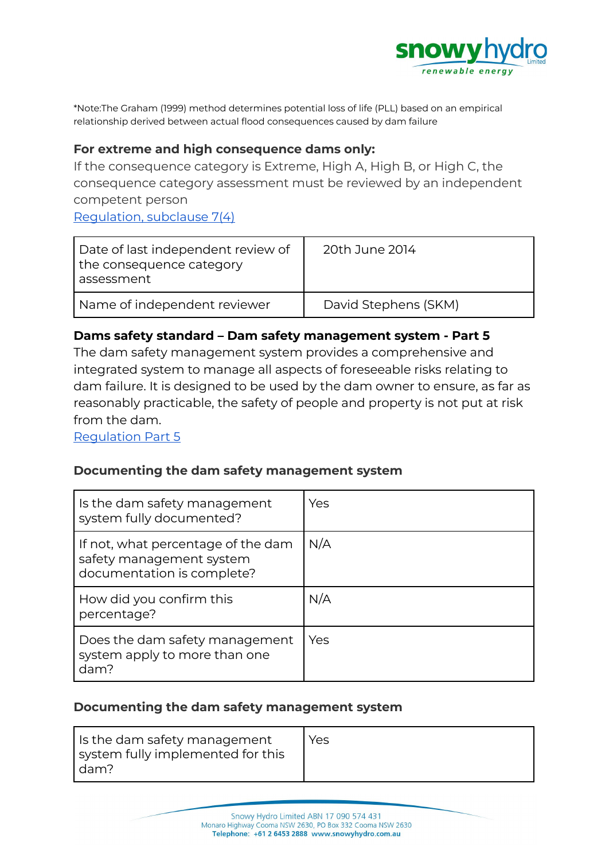

\*Note:The Graham (1999) method determines potential loss of life (PLL) based on an empirical relationship derived between actual flood consequences caused by dam failure

#### **For extreme and high consequence dams only:**

If the consequence category is Extreme, High A, High B, or High C, the consequence category assessment must be reviewed by an independent competent person [Regulation,](https://legislation.nsw.gov.au/view/html/inforce/current/sl-2019-0506#sec.7) subclause 7(4)

| Date of last independent review of<br>the consequence category<br>assessment | 20th June 2014       |
|------------------------------------------------------------------------------|----------------------|
| Name of independent reviewer                                                 | David Stephens (SKM) |

#### **Dams safety standard – Dam safety management system - Part 5**

The dam safety management system provides a comprehensive and integrated system to manage all aspects of foreseeable risks relating to dam failure. It is designed to be used by the dam owner to ensure, as far as reasonably practicable, the safety of people and property is not put at risk from the dam.

[Regulation](https://legislation.nsw.gov.au/view/html/inforce/current/sl-2019-0506#pt.5) Part 5

#### **Documenting the dam safety management system**

| Is the dam safety management<br>system fully documented?                                     | Yes |
|----------------------------------------------------------------------------------------------|-----|
| If not, what percentage of the dam<br>safety management system<br>documentation is complete? | N/A |
| How did you confirm this<br>percentage?                                                      | N/A |
| Does the dam safety management<br>system apply to more than one<br>dam?                      | Yes |

#### **Documenting the dam safety management system**

| Is the dam safety management      | Yes. |
|-----------------------------------|------|
| system fully implemented for this |      |
| l dam?                            |      |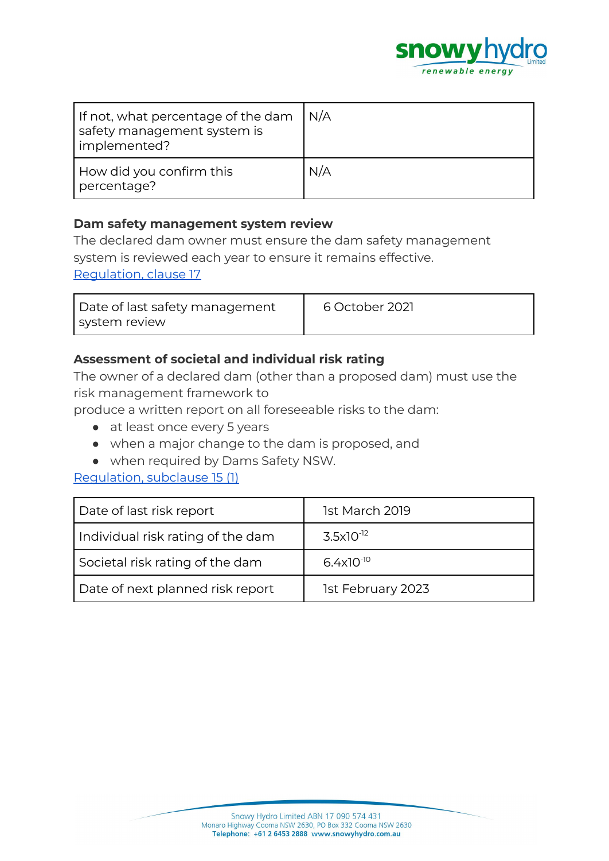

| If not, what percentage of the dam<br>safety management system is<br>implemented? | N/A |
|-----------------------------------------------------------------------------------|-----|
| How did you confirm this<br>percentage?                                           | N/A |

#### **Dam safety management system review**

The declared dam owner must ensure the dam safety management system is reviewed each year to ensure it remains effective. [Regulation,](https://legislation.nsw.gov.au/view/html/inforce/current/sl-2019-0506#sec.17) clause 17

| Date of last safety management | 6 October 2021 |
|--------------------------------|----------------|
| system review                  |                |

# **Assessment of societal and individual risk rating**

The owner of a declared dam (other than a proposed dam) must use the risk management framework to

produce a written report on all foreseeable risks to the dam:

- at least once every 5 years
- when a major change to the dam is proposed, and
- when required by Dams Safety NSW.

#### [Regulation,](https://legislation.nsw.gov.au/view/html/inforce/current/sl-2019-0506#sec.15) subclause 15 (1)

| Date of last risk report          | 1st March 2019        |
|-----------------------------------|-----------------------|
| Individual risk rating of the dam | $3.5 \times 10^{-12}$ |
| Societal risk rating of the dam   | $6.4x10^{-10}$        |
| Date of next planned risk report  | 1st February 2023     |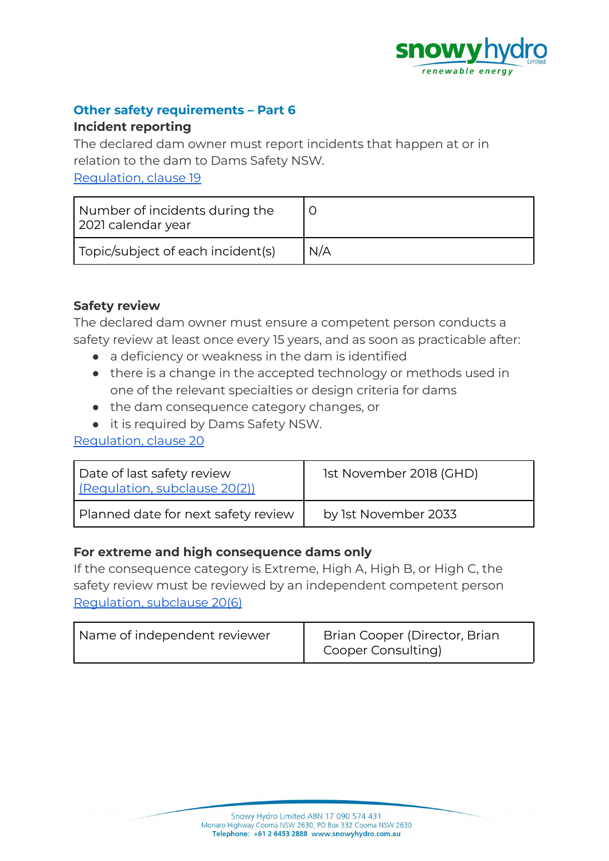

#### **Other safety requirements – Part 6**

#### **Incident reporting**

The declared dam owner must report incidents that happen at or in relation to the dam to Dams Safety NSW.

[Regulation,](https://legislation.nsw.gov.au/view/html/inforce/current/sl-2019-0506#sec.19) clause 19

| Number of incidents during the<br>2021 calendar year |     |
|------------------------------------------------------|-----|
| Topic/subject of each incident(s)                    | N/A |

# **Safety review**

The declared dam owner must ensure a competent person conducts a safety review at least once every 15 years, and as soon as practicable after:

- a deficiency or weakness in the dam is identified
- there is a change in the accepted technology or methods used in one of the relevant specialties or design criteria for dams
- the dam consequence category changes, or
- it is required by Dams Safety NSW.

#### [Regulation,](https://legislation.nsw.gov.au/view/html/inforce/current/sl-2019-0506#sec.20) clause 20

| Date of last safety review<br>(Regulation, subclause 20(2)) | 1st November 2018 (GHD) |
|-------------------------------------------------------------|-------------------------|
| Planned date for next safety review                         | by 1st November 2033    |

#### **For extreme and high consequence dams only**

If the consequence category is Extreme, High A, High B, or High C, the safety review must be reviewed by an independent competent person [Regulation,](https://legislation.nsw.gov.au/view/html/inforce/current/sl-2019-0506#sec.7) subclause 20(6)

| Name of independent reviewer | Brian Cooper (Director, Brian<br>Cooper Consulting) |
|------------------------------|-----------------------------------------------------|
|------------------------------|-----------------------------------------------------|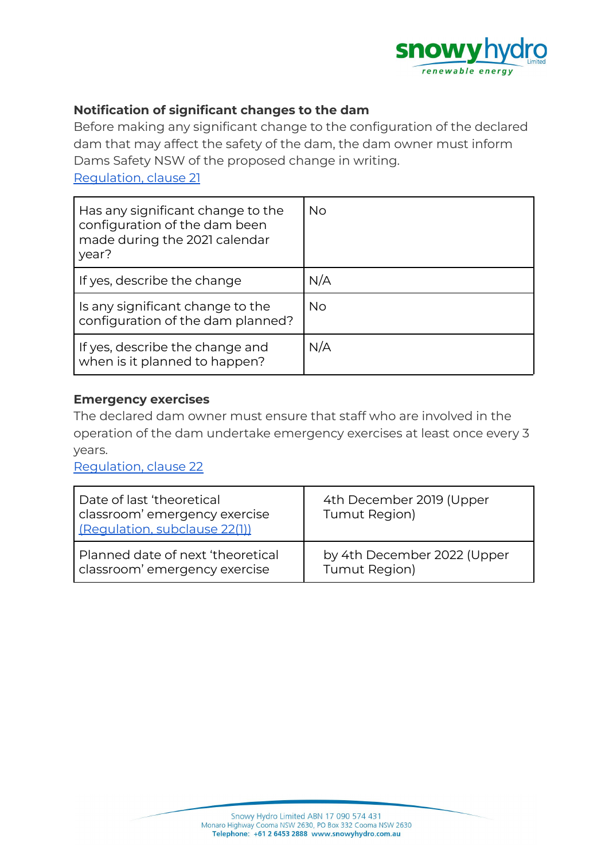

### **Notification of significant changes to the dam**

Before making any significant change to the configuration of the declared dam that may affect the safety of the dam, the dam owner must inform Dams Safety NSW of the proposed change in writing.

[Regulation,](https://legislation.nsw.gov.au/view/html/inforce/current/sl-2019-0506#sec.21) clause 21

| Has any significant change to the<br>configuration of the dam been<br>made during the 2021 calendar<br>year? | No. |
|--------------------------------------------------------------------------------------------------------------|-----|
| If yes, describe the change                                                                                  | N/A |
| Is any significant change to the<br>configuration of the dam planned?                                        | No. |
| If yes, describe the change and<br>when is it planned to happen?                                             | N/A |

#### **Emergency exercises**

The declared dam owner must ensure that staff who are involved in the operation of the dam undertake emergency exercises at least once every 3 years.

[Regulation,](https://legislation.nsw.gov.au/view/html/inforce/current/sl-2019-0506#sec.22) clause 22

| Date of last 'theoretical<br>classroom' emergency exercise<br>(Requlation, subclause 22(1)) | 4th December 2019 (Upper<br>Tumut Region) |
|---------------------------------------------------------------------------------------------|-------------------------------------------|
| Planned date of next 'theoretical                                                           | by 4th December 2022 (Upper               |
| classroom' emergency exercise                                                               | Tumut Region)                             |